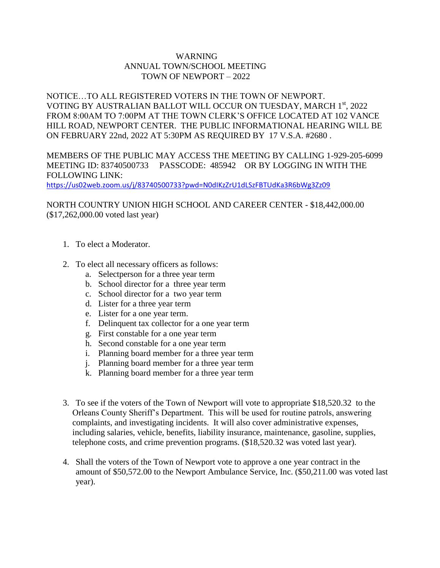## WARNING ANNUAL TOWN/SCHOOL MEETING TOWN OF NEWPORT – 2022

NOTICE…TO ALL REGISTERED VOTERS IN THE TOWN OF NEWPORT. VOTING BY AUSTRALIAN BALLOT WILL OCCUR ON TUESDAY, MARCH 1st, 2022 FROM 8:00AM TO 7:00PM AT THE TOWN CLERK'S OFFICE LOCATED AT 102 VANCE HILL ROAD, NEWPORT CENTER. THE PUBLIC INFORMATIONAL HEARING WILL BE ON FEBRUARY 22nd, 2022 AT 5:30PM AS REQUIRED BY 17 V.S.A. #2680 .

MEMBERS OF THE PUBLIC MAY ACCESS THE MEETING BY CALLING 1-929-205-6099 MEETING ID: 83740500733 PASSCODE: 485942 OR BY LOGGING IN WITH THE FOLLOWING LINK:

<https://us02web.zoom.us/j/83740500733?pwd=N0dIKzZrU1dLSzFBTUdKa3R6bWg3Zz09>

## NORTH COUNTRY UNION HIGH SCHOOL AND CAREER CENTER - \$18,442,000.00 (\$17,262,000.00 voted last year)

- 1. To elect a Moderator.
- 2. To elect all necessary officers as follows:
	- a. Selectperson for a three year term
	- b. School director for a three year term
	- c. School director for a two year term
	- d. Lister for a three year term
	- e. Lister for a one year term.
	- f. Delinquent tax collector for a one year term
	- g. First constable for a one year term
	- h. Second constable for a one year term
	- i. Planning board member for a three year term
	- j. Planning board member for a three year term
	- k. Planning board member for a three year term
- 3. To see if the voters of the Town of Newport will vote to appropriate \$18,520.32 to the Orleans County Sheriff's Department. This will be used for routine patrols, answering complaints, and investigating incidents. It will also cover administrative expenses, including salaries, vehicle, benefits, liability insurance, maintenance, gasoline, supplies, telephone costs, and crime prevention programs. (\$18,520.32 was voted last year).
- 4. Shall the voters of the Town of Newport vote to approve a one year contract in the amount of \$50,572.00 to the Newport Ambulance Service, Inc. (\$50,211.00 was voted last year).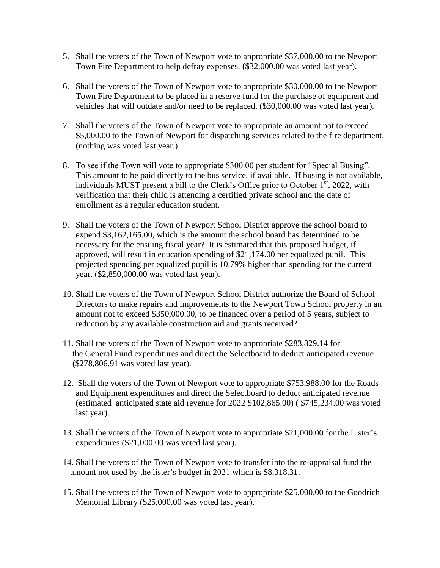- 5. Shall the voters of the Town of Newport vote to appropriate \$37,000.00 to the Newport Town Fire Department to help defray expenses. (\$32,000.00 was voted last year).
- 6. Shall the voters of the Town of Newport vote to appropriate \$30,000.00 to the Newport Town Fire Department to be placed in a reserve fund for the purchase of equipment and vehicles that will outdate and/or need to be replaced. (\$30,000.00 was voted last year).
- 7. Shall the voters of the Town of Newport vote to appropriate an amount not to exceed \$5,000.00 to the Town of Newport for dispatching services related to the fire department. (nothing was voted last year.)
- 8. To see if the Town will vote to appropriate \$300.00 per student for "Special Busing". This amount to be paid directly to the bus service, if available. If busing is not available, individuals MUST present a bill to the Clerk's Office prior to October 1<sup>st</sup>, 2022, with verification that their child is attending a certified private school and the date of enrollment as a regular education student.
- 9. Shall the voters of the Town of Newport School District approve the school board to expend \$3,162,165.00, which is the amount the school board has determined to be necessary for the ensuing fiscal year? It is estimated that this proposed budget, if approved, will result in education spending of \$21,174.00 per equalized pupil. This projected spending per equalized pupil is 10.79% higher than spending for the current year. (\$2,850,000.00 was voted last year).
- 10. Shall the voters of the Town of Newport School District authorize the Board of School Directors to make repairs and improvements to the Newport Town School property in an amount not to exceed \$350,000.00, to be financed over a period of 5 years, subject to reduction by any available construction aid and grants received?
- 11. Shall the voters of the Town of Newport vote to appropriate \$283,829.14 for the General Fund expenditures and direct the Selectboard to deduct anticipated revenue (\$278,806.91 was voted last year).
- 12. Shall the voters of the Town of Newport vote to appropriate \$753,988.00 for the Roads and Equipment expenditures and direct the Selectboard to deduct anticipated revenue (estimated anticipated state aid revenue for 2022 \$102,865.00) ( \$745,234.00 was voted last year).
- 13. Shall the voters of the Town of Newport vote to appropriate \$21,000.00 for the Lister's expenditures (\$21,000.00 was voted last year).
- 14. Shall the voters of the Town of Newport vote to transfer into the re-appraisal fund the amount not used by the lister's budget in 2021 which is \$8,318.31.
- 15. Shall the voters of the Town of Newport vote to appropriate \$25,000.00 to the Goodrich Memorial Library (\$25,000.00 was voted last year).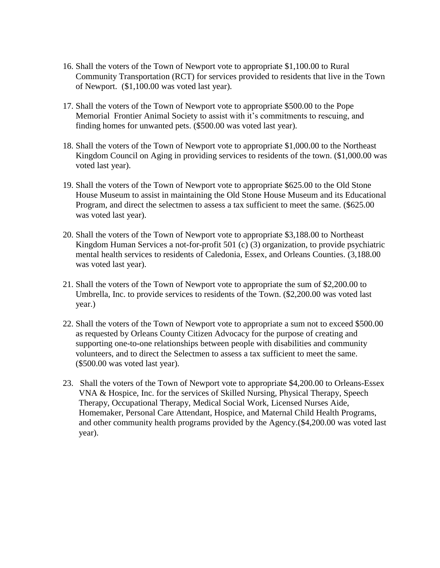- 16. Shall the voters of the Town of Newport vote to appropriate \$1,100.00 to Rural Community Transportation (RCT) for services provided to residents that live in the Town of Newport. (\$1,100.00 was voted last year).
- 17. Shall the voters of the Town of Newport vote to appropriate \$500.00 to the Pope Memorial Frontier Animal Society to assist with it's commitments to rescuing, and finding homes for unwanted pets. (\$500.00 was voted last year).
- 18. Shall the voters of the Town of Newport vote to appropriate \$1,000.00 to the Northeast Kingdom Council on Aging in providing services to residents of the town. (\$1,000.00 was voted last year).
- 19. Shall the voters of the Town of Newport vote to appropriate \$625.00 to the Old Stone House Museum to assist in maintaining the Old Stone House Museum and its Educational Program, and direct the selectmen to assess a tax sufficient to meet the same. (\$625.00 was voted last year).
- 20. Shall the voters of the Town of Newport vote to appropriate \$3,188.00 to Northeast Kingdom Human Services a not-for-profit 501 (c) (3) organization, to provide psychiatric mental health services to residents of Caledonia, Essex, and Orleans Counties. (3,188.00 was voted last year).
- 21. Shall the voters of the Town of Newport vote to appropriate the sum of \$2,200.00 to Umbrella, Inc. to provide services to residents of the Town. (\$2,200.00 was voted last year.)
- 22. Shall the voters of the Town of Newport vote to appropriate a sum not to exceed \$500.00 as requested by Orleans County Citizen Advocacy for the purpose of creating and supporting one-to-one relationships between people with disabilities and community volunteers, and to direct the Selectmen to assess a tax sufficient to meet the same. (\$500.00 was voted last year).
- 23. Shall the voters of the Town of Newport vote to appropriate \$4,200.00 to Orleans-Essex VNA & Hospice, Inc. for the services of Skilled Nursing, Physical Therapy, Speech Therapy, Occupational Therapy, Medical Social Work, Licensed Nurses Aide, Homemaker, Personal Care Attendant, Hospice, and Maternal Child Health Programs, and other community health programs provided by the Agency.(\$4,200.00 was voted last year).